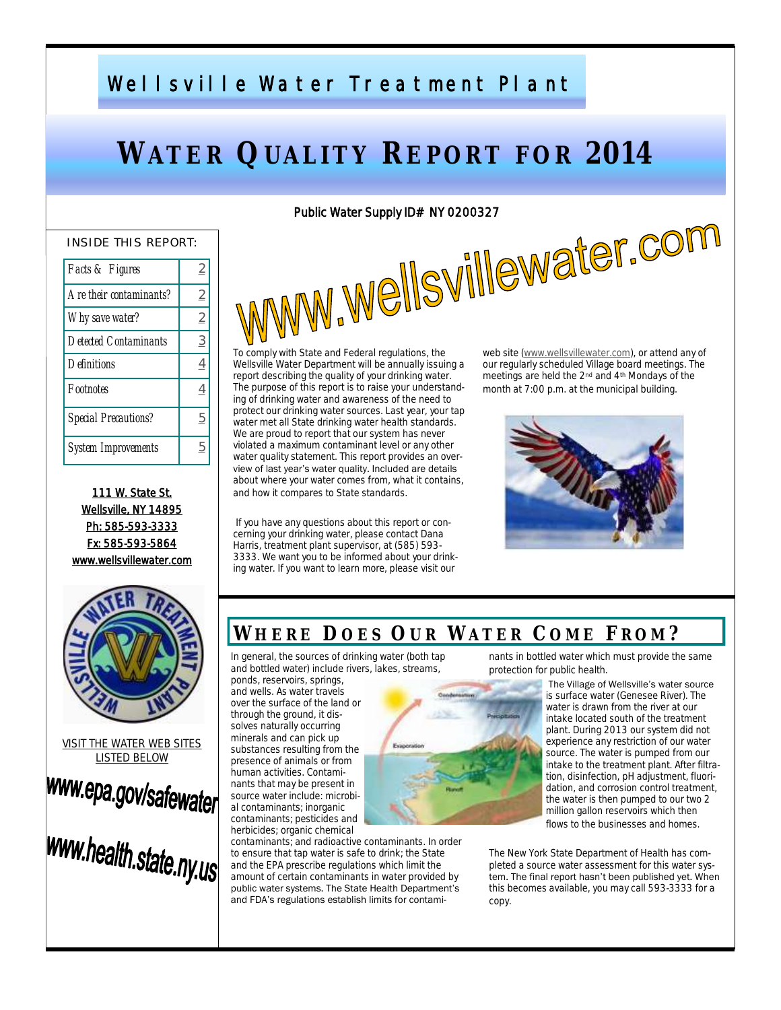# Wellsville Water Treatment Plant

# **WATER QUALITY REPORT FOR 2014**

#### INSIDE THIS REPORT:

| Facts & Figures              | 2              |
|------------------------------|----------------|
| Are their contaminants?      | 2              |
| Why save water?              | $\overline{2}$ |
| <i>Detected Contaminants</i> | $\overline{3}$ |
| Definitions                  | 4              |
| Footnotes                    | 4              |
| <b>Special Precautions?</b>  | 5              |
| System Improvements          | h              |

111 W. State St. Wellsville, NY 14895 Ph: 585-593-3333 Fx: 585-593-5864 www.wellsvillewater.com



VISIT THE WATER WEB SITES LISTED BELOW



# www.health.state.ny.us

# ww.wellsvillewater.com

To comply with State and Federal regulations, the Wellsville Water Department will be annually issuing a report describing the quality of your drinking water. The purpose of this report is to raise your understanding of drinking water and awareness of the need to protect our drinking water sources. Last year, your tap water met all State drinking water health standards. We are proud to report that our system has never violated a maximum contaminant level or any other water quality statement. This report provides an overview of last year's water quality. Included are details about where your water comes from, what it contains, and how it compares to State standards.

If you have any questions about this report or concerning your drinking water, please contact Dana Harris, treatment plant supervisor, at (585) 593-3333. We want you to be informed about your drinking water. If you want to learn more, please visit our

web site [\(www.wellsvillewater.com\),](http://www.wellsvillewater.com/) or attend any of our regularly scheduled Village board meetings. The meetings are held the 2nd and 4th Mondays of the month at 7:00 p.m. at the municipal building.



#### **WH E R E D O E S OU R WA T E R C O M E FR O M ?**

In general, the sources of drinking water (both tap and bottled water) include rivers, lakes, streams,

ponds, reservoirs, springs, and wells. As water travels over the surface of the land or through the ground, it dissolves naturally occurring minerals and can pick up substances resulting from the presence of animals or from human activities. Contaminants that may be present in source water include: microbial contaminants; inorganic contaminants; pesticides and herbicides; organic chemical

contaminants; and radioactive contaminants. In order to ensure that tap water is safe to drink; the State and the EPA prescribe regulations which limit the amount of certain contaminants in water provided by public water systems. The State Health Department's and FDA's regulations establish limits for contami-



nants in bottled water which must provide the same protection for public health.

> The Village of Wellsville's water source is surface water (Genesee River). The water is drawn from the river at our intake located south of the treatment plant. During 2013 our system did not experience any restriction of our water source. The water is pumped from our intake to the treatment plant. After filtration, disinfection, pH adjustment, fluoridation, and corrosion control treatment, the water is then pumped to our two 2 million gallon reservoirs which then flows to the businesses and homes.

The New York State Department of Health has completed a source water assessment for this water system. The final report hasn't been published yet. When this becomes available, you may call 593-3333 for a copy.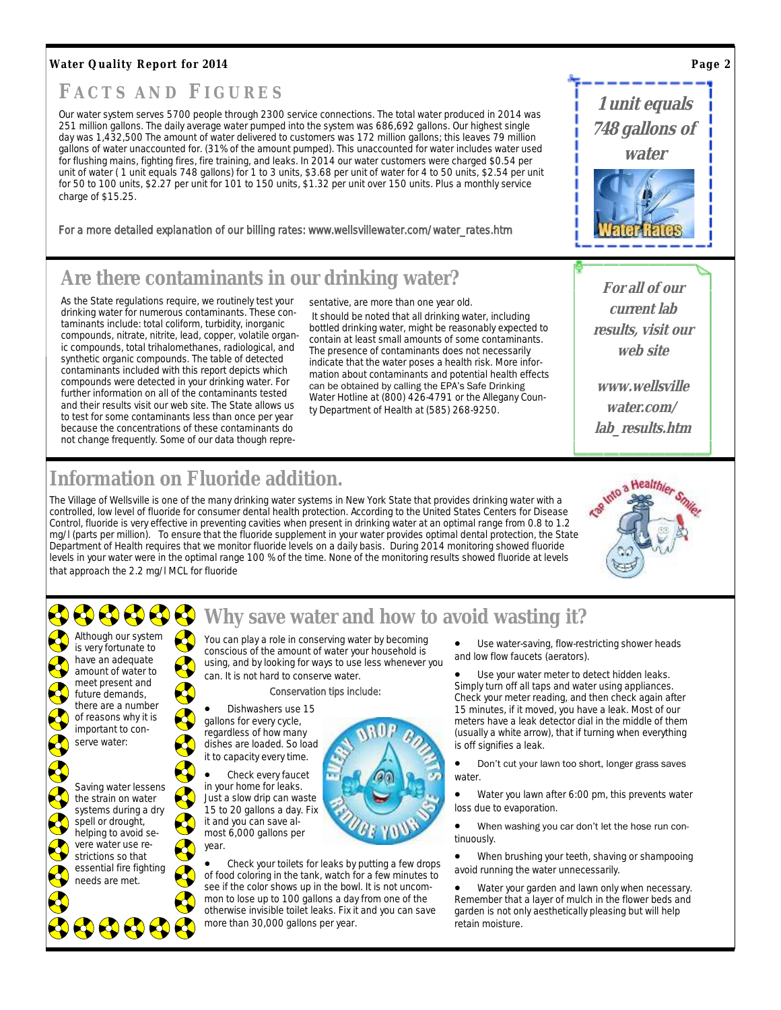#### <span id="page-1-0"></span>**Water Quality Report for 2014**

## **F A C T S A N D FI G U R E S**

Our water system serves 5700 people through 2300 service connections. The total water produced in 2014 was 251 million gallons. The daily average water pumped into the system was 686,692 gallons. Our highest single day was 1,432,500 The amount of water delivered to customers was 172 million gallons; this leaves 79 million gallons of water unaccounted for. (31% of the amount pumped). This unaccounted for water includes water used for flushing mains, fighting fires, fire training, and leaks. In 2014 our water customers were charged \$0.54 per unit of water (1 unit equals 748 gallons) for 1 to 3 units, \$3.68 per unit of water for 4 to 50 units, \$2.54 per unit for 50 to 100 units, \$2.27 per unit for 101 to 150 units, \$1.32 per unit over 150 units. Plus a monthly service charge of \$15.25.

For a more detailed explanation of our billing rates: www.wellsvillewater.com/water\_rates.htm

# **Are there contaminants in our drinking water?**

As the State regulations require, we routinely test your drinking water for numerous contaminants. These contaminants include: total coliform, turbidity, inorganic compounds, nitrate, nitrite, lead, copper, volatile organic compounds, total trihalomethanes, radiological, and synthetic organic compounds. The table of detected contaminants included with this report depicts which compounds were detected in your drinking water. For further information on all of the contaminants tested and their results visit our web site. The State allows us to test for some contaminants less than once per year because the concentrations of these contaminants do not change frequently. Some of our data though representative, are more than one year old.

It should be noted that all drinking water, including bottled drinking water, might be reasonably expected to contain at least small amounts of some contaminants. The presence of contaminants does not necessarily indicate that the water poses a health risk. More information about contaminants and potential health effects can be obtained by calling the EPA's Safe Drinking Water Hotline at (800) 426-4791 or the Allegany County Department of Health at (585) 268-9250.

**For all of our current lab results, visit our web site**

**1 unit equals** 

**748 gallons of water** 

**www.wellsville water.com/ lab\_results.htm**

# **Information on Fluoride addition.**

The Village of Wellsville is one of the many drinking water systems in New York State that provides drinking water with a controlled, low level of fluoride for consumer dental health protection. According to the United States Centers for Disease Control, fluoride is very effective in preventing cavities when present in drinking water at an optimal range from 0.8 to 1.2 mg/l (parts per million). To ensure that the fluoride supplement in your water provides optimal dental protection, the State Department of Health requires that we monitor fluoride levels on a daily basis. During 2014 monitoring showed fluoride levels in your water were in the optimal range 100 % of the time. None of the monitoring results showed fluoride at levels that approach the 2.2 mg/l MCL for fluoride





900006

## **Why save water and how to avoid wasting it?**

You can play a role in conserving water by becoming conscious of the amount of water your household is using, and by looking for ways to use less whenever you can. It is not hard to conserve water.

#### Conservation tips include:

 Dishwashers use 15 gallons for every cycle, regardless of how many dishes are loaded. So load

 Check every faucet in your home for leaks. Just a slow drip can waste 15 to 20 gallons a day. Fix it and you can save almost 6,000 gallons per



 Check your toilets for leaks by putting a few drops of food coloring in the tank, watch for a few minutes to see if the color shows up in the bowl. It is not uncommon to lose up to 100 gallons a day from one of the otherwise invisible toilet leaks. Fix it and you can save more than 30,000 gallons per year.

 Use water-saving, flow-restricting shower heads and low flow faucets (aerators).

 Use your water meter to detect hidden leaks. Simply turn off all taps and water using appliances. Check your meter reading, and then check again after 15 minutes, if it moved, you have a leak. Most of our meters have a leak detector dial in the middle of them (usually a white arrow), that if turning when everything is off signifies a leak.

**•** Don't cut your lawn too short, longer grass saves water.

 Water you lawn after 6:00 pm, this prevents water loss due to evaporation.

 When washing you car don't let the hose run continuously.

 When brushing your teeth, shaving or shampooing avoid running the water unnecessarily.

 Water your garden and lawn only when necessary. Remember that a layer of mulch in the flower beds and garden is not only aesthetically pleasing but will help retain moisture.

**Page 2**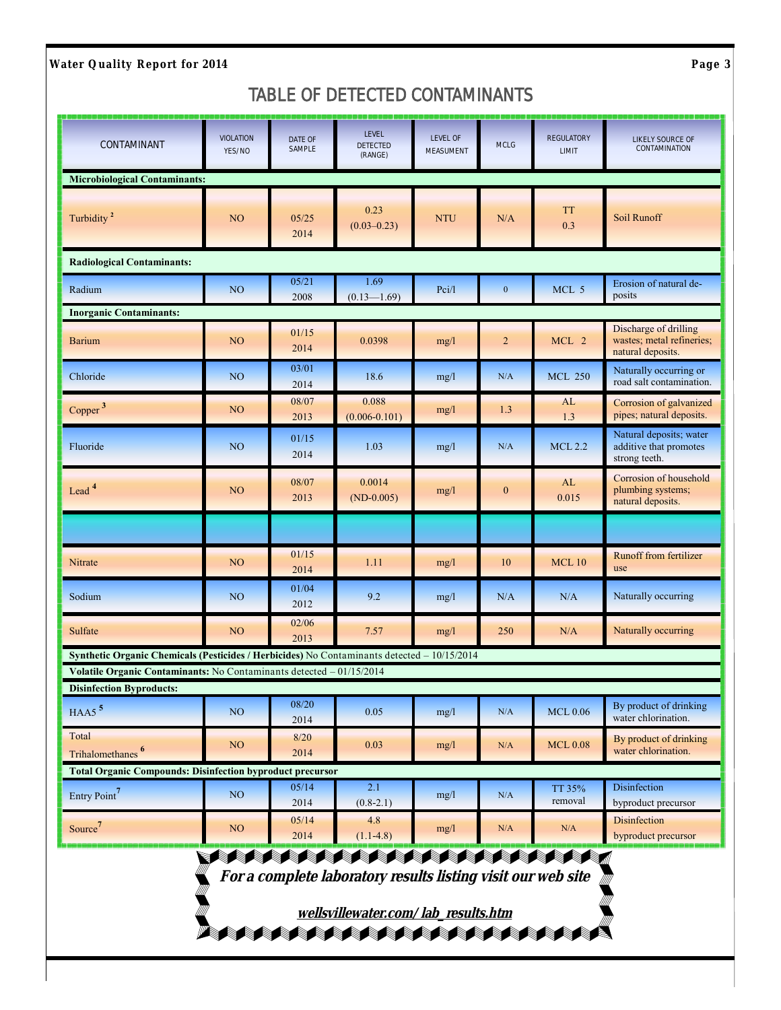<span id="page-2-0"></span>**Water Quality Report for 2014 Page 3** 

#### *TABLE OF DETECTED CONTAMINANTS*

| ا و د ه ماه ه ماه و ماه و و و ماه در ماه و ماه و ماه ماه و ماه و ماه ماه ماه و ماه ماه و ما<br>CONTAMINANT | <b>VIOLATION</b><br>YES/NO | DATE OF<br>SAMPLE | كوالوا والموالي والموالي والموالي والمواري والموالي والمار<br><b>LEVEL</b><br>DETECTED<br>(RANGE)                                                                      | <b>LEVEL OF</b><br>MEASUMENT | <b>MCLG</b>      | تواجده متعادما كالمتحاد والمناور المتحاد المتحرمات الأ<br><b>REGULATORY</b><br>LIMIT | وجوهم ووج ومحوصوه وموهوها<br>LIKELY SOURCE OF<br>CONTAMINATION          |
|------------------------------------------------------------------------------------------------------------|----------------------------|-------------------|------------------------------------------------------------------------------------------------------------------------------------------------------------------------|------------------------------|------------------|--------------------------------------------------------------------------------------|-------------------------------------------------------------------------|
| <b>Microbiological Contaminants:</b>                                                                       |                            |                   |                                                                                                                                                                        |                              |                  |                                                                                      |                                                                         |
| Turbidity <sup>2</sup>                                                                                     | NO                         | 05/25<br>2014     | 0.23<br>$(0.03 - 0.23)$                                                                                                                                                | <b>NTU</b>                   | N/A              | <b>TT</b><br>0.3                                                                     | Soil Runoff                                                             |
| <b>Radiological Contaminants:</b>                                                                          |                            |                   |                                                                                                                                                                        |                              |                  |                                                                                      |                                                                         |
| Radium                                                                                                     | NO <sub>1</sub>            | 05/21<br>2008     | 1.69<br>$(0.13 - 1.69)$                                                                                                                                                | Pci/l                        | $\mathbf{0}$     | MCL 5                                                                                | Erosion of natural de-<br>posits                                        |
| <b>Inorganic Contaminants:</b>                                                                             |                            |                   |                                                                                                                                                                        |                              |                  |                                                                                      |                                                                         |
| <b>Barium</b>                                                                                              | NO                         | 01/15<br>2014     | 0.0398                                                                                                                                                                 | mg/l                         | $\overline{2}$   | MCL 2                                                                                | Discharge of drilling<br>wastes; metal refineries;<br>natural deposits. |
| Chloride                                                                                                   | N <sub>O</sub>             | 03/01<br>2014     | 18.6                                                                                                                                                                   | mg/l                         | N/A              | <b>MCL 250</b>                                                                       | Naturally occurring or<br>road salt contamination.                      |
| Copper <sup>3</sup>                                                                                        | NO                         | 08/07<br>2013     | 0.088<br>$(0.006 - 0.101)$                                                                                                                                             | mg/l                         | 1.3              | AL<br>1.3                                                                            | Corrosion of galvanized<br>pipes; natural deposits.                     |
| Fluoride                                                                                                   | NO <sub></sub>             | 01/15<br>2014     | 1.03                                                                                                                                                                   | mg/l                         | N/A              | <b>MCL 2.2</b>                                                                       | Natural deposits; water<br>additive that promotes<br>strong teeth.      |
| Lead <sup>4</sup>                                                                                          | NO                         | 08/07<br>2013     | 0.0014<br>$(ND-0.005)$                                                                                                                                                 | mg/l                         | $\boldsymbol{0}$ | AL<br>0.015                                                                          | Corrosion of household<br>plumbing systems;<br>natural deposits.        |
|                                                                                                            |                            |                   |                                                                                                                                                                        |                              |                  |                                                                                      |                                                                         |
| Nitrate                                                                                                    | NO <sub>1</sub>            | 01/15<br>2014     | 1.11                                                                                                                                                                   | mg/l                         | 10               | <b>MCL10</b>                                                                         | <b>Runoff from fertilizer</b><br>use                                    |
| Sodium                                                                                                     | N <sub>O</sub>             | 01/04<br>2012     | 9.2                                                                                                                                                                    | mg/l                         | N/A              | N/A                                                                                  | Naturally occurring                                                     |
| Sulfate                                                                                                    | NO                         | 02/06<br>2013     | 7.57                                                                                                                                                                   | mg/l                         | 250              | N/A                                                                                  | Naturally occurring                                                     |
| Synthetic Organic Chemicals (Pesticides / Herbicides) No Contaminants detected - 10/15/2014                |                            |                   |                                                                                                                                                                        |                              |                  |                                                                                      |                                                                         |
| Volatile Organic Contaminants: No Contaminants detected - 01/15/2014<br><b>Disinfection Byproducts:</b>    |                            |                   |                                                                                                                                                                        |                              |                  |                                                                                      |                                                                         |
| $HAA5$ <sup>5</sup>                                                                                        | N <sub>O</sub>             | 08/20<br>2014     | 0.05                                                                                                                                                                   | mg/l                         | N/A              | <b>MCL 0.06</b>                                                                      | By product of drinking<br>water chlorination.                           |
| Total<br>Trihalomethanes <sup>6</sup>                                                                      | N <sub>O</sub>             | 8/20<br>2014      | 0.03                                                                                                                                                                   | mg/l                         | N/A              | <b>MCL0.08</b>                                                                       | By product of drinking<br>water chlorination.                           |
| <b>Total Organic Compounds: Disinfection byproduct precursor</b>                                           |                            |                   |                                                                                                                                                                        |                              |                  |                                                                                      |                                                                         |
| Entry Point <sup>7</sup>                                                                                   | N <sub>O</sub>             | 05/14<br>2014     | 2.1<br>$(0.8-2.1)$                                                                                                                                                     | mg/l                         | N/A              | TT 35%<br>removal                                                                    | <b>Disinfection</b><br>byproduct precursor                              |
| Source <sup>7</sup>                                                                                        | NO                         | 05/14<br>2014     | 4.8<br>$(1.1-4.8)$                                                                                                                                                     | mg/l                         | N/A              | N/A                                                                                  | <b>Disinfection</b><br>byproduct precursor                              |
|                                                                                                            |                            |                   | <b>A PORT PORT PORT PORT PORT PORT PORT PO</b><br>For a complete laboratory results listing visit our web site<br>wellsvillewater.com/lab_results.htm<br>₯₥₥₥₥₥₥₥₥₥₥₥₥ |                              |                  |                                                                                      |                                                                         |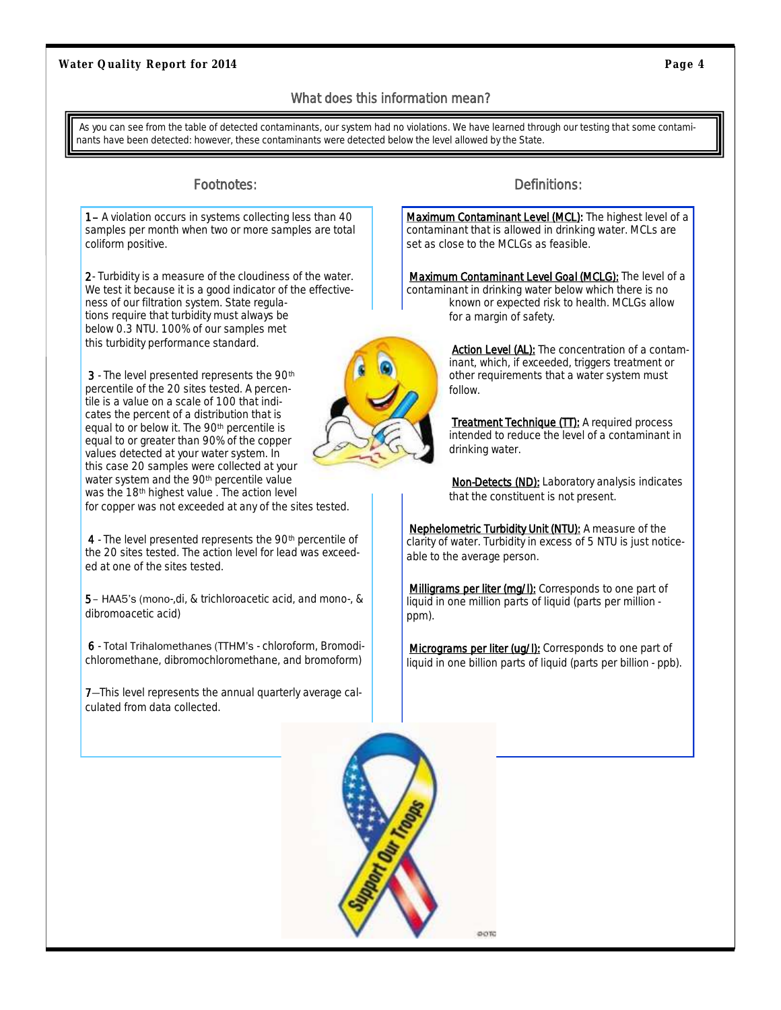#### What does this information mean?

<span id="page-3-0"></span>As you can see from the table of detected contaminants, our system had no violations. We have learned through our testing that some contaminants have been detected: however, these contaminants were detected below the level allowed by the State.

1– A violation occurs in systems collecting less than 40 samples per month when two or more samples are total coliform positive.

2- Turbidity is a measure of the cloudiness of the water. We test it because it is a good indicator of the effectiveness of our filtration system. State regulations require that turbidity must always be below 0.3 NTU. 100% of our samples met this turbidity performance standard.

3 - The level presented represents the 90<sup>th</sup> percentile of the 20 sites tested. A percentile is a value on a scale of 100 that indicates the percent of a distribution that is equal to or below it. The 90th percentile is equal to or greater than 90% of the copper values detected at your water system. In this case 20 samples were collected at your water system and the 90th percentile value was the 18<sup>th</sup> highest value . The action level for copper was not exceeded at any of the sites tested.

4 - The level presented represents the 90<sup>th</sup> percentile of the 20 sites tested. The action level for lead was exceeded at one of the sites tested.

5– HAA5's (mono-,di, & trichloroacetic acid, and mono-, & dibromoacetic acid)

6 - Total Trihalomethanes (TTHM's - chloroform, Bromodichloromethane, dibromochloromethane, and bromoform)

7—This level represents the annual quarterly average calculated from data collected.

#### Footnotes: **Definitions:** Definitions:

Maximum Contaminant Level (MCL): The highest level of a contaminant that is allowed in drinking water. MCLs are set as close to the MCLGs as feasible.

*Maximum Contaminant Level Goal* (MCLG): The level of a contaminant in drinking water below which there is no known or expected risk to health. MCLGs allow for a margin of safety.



**Action Level (AL):** The concentration of a contaminant, which, if exceeded, triggers treatment or other requirements that a water system must follow.

**Treatment Technique (TT):** A required process intended to reduce the level of a contaminant in drinking water.

*Non-Detects* (ND): Laboratory analysis indicates that the constituent is not present.

*Nephelometric Turbidity Unit* (NTU): A measure of the clarity of water. Turbidity in excess of 5 NTU is just noticeable to the average person.

**Milligrams per liter (mg/l):** Corresponds to one part of liquid in one million parts of liquid (parts per million ppm).

**Micrograms per liter (ug/l):** Corresponds to one part of liquid in one billion parts of liquid (parts per billion - ppb).